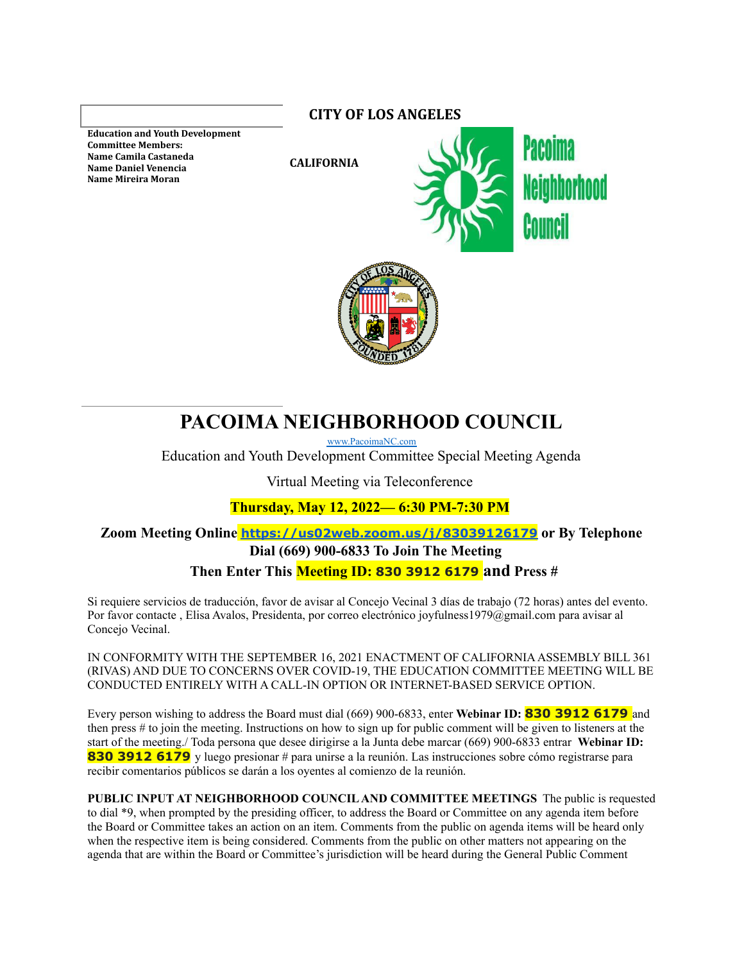**Education and Youth Development Committee Members: Name Camila Castaneda Name Daniel Venencia Name Mireira Moran**

**CITY OF LOS ANGELES**

**CALIFORNIA**





# **PACOIMA NEIGHBORHOOD COUNCIL**

[www.PacoimaNC.com](http://www.pacoimacouncil.org)

Education and Youth Development Committee Special Meeting Agenda

Virtual Meeting via Teleconference

**Thursday, May 12, 2022— 6:30 PM-7:30 PM**

**Zoom Meeting Online <https://us02web.zoom.us/j/83039126179> or By Telephone Dial (669) 900-6833 To Join The Meeting**

## **Then Enter This Meeting ID: 830 3912 6179 and Press #**

Si requiere servicios de traducción, favor de avisar al Concejo Vecinal 3 días de trabajo (72 horas) antes del evento. Por favor contacte , Elisa Avalos, Presidenta, por correo electrónico joyfulness1979@gmail.com para avisar al Concejo Vecinal.

IN CONFORMITY WITH THE SEPTEMBER 16, 2021 ENACTMENT OF CALIFORNIAASSEMBLY BILL 361 (RIVAS) AND DUE TO CONCERNS OVER COVID-19, THE EDUCATION COMMITTEE MEETING WILL BE CONDUCTED ENTIRELY WITH A CALL-IN OPTION OR INTERNET-BASED SERVICE OPTION.

Every person wishing to address the Board must dial (669) 900-6833, enter **Webinar ID: 830 3912 6179** and then press # to join the meeting. Instructions on how to sign up for public comment will be given to listeners at the start of the meeting./ Toda persona que desee dirigirse a la Junta debe marcar (669) 900-6833 entrar **Webinar ID: 830 <b>3912 6179** y luego presionar # para unirse a la reunión. Las instrucciones sobre cómo registrarse para recibir comentarios públicos se darán a los oyentes al comienzo de la reunión.

**PUBLIC INPUT AT NEIGHBORHOOD COUNCILAND COMMITTEE MEETINGS** The public is requested to dial \*9, when prompted by the presiding officer, to address the Board or Committee on any agenda item before the Board or Committee takes an action on an item. Comments from the public on agenda items will be heard only when the respective item is being considered. Comments from the public on other matters not appearing on the agenda that are within the Board or Committee's jurisdiction will be heard during the General Public Comment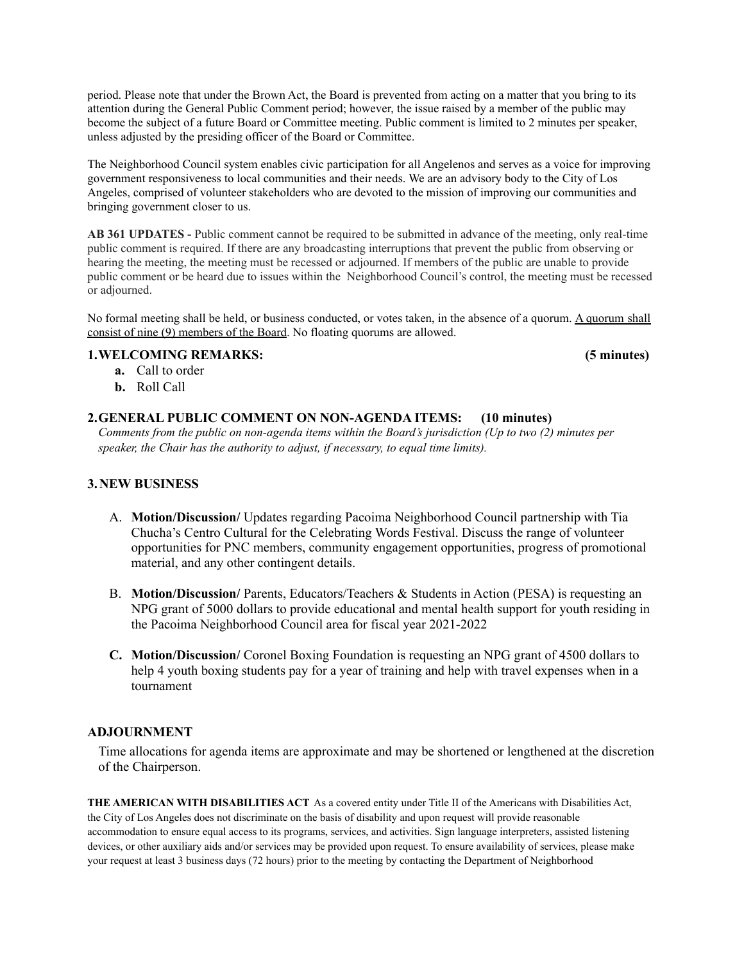period. Please note that under the Brown Act, the Board is prevented from acting on a matter that you bring to its attention during the General Public Comment period; however, the issue raised by a member of the public may become the subject of a future Board or Committee meeting. Public comment is limited to 2 minutes per speaker, unless adjusted by the presiding officer of the Board or Committee.

The Neighborhood Council system enables civic participation for all Angelenos and serves as a voice for improving government responsiveness to local communities and their needs. We are an advisory body to the City of Los Angeles, comprised of volunteer stakeholders who are devoted to the mission of improving our communities and bringing government closer to us.

**AB 361 UPDATES -** Public comment cannot be required to be submitted in advance of the meeting, only real-time public comment is required. If there are any broadcasting interruptions that prevent the public from observing or hearing the meeting, the meeting must be recessed or adjourned. If members of the public are unable to provide public comment or be heard due to issues within the Neighborhood Council's control, the meeting must be recessed or adjourned.

No formal meeting shall be held, or business conducted, or votes taken, in the absence of a quorum. A quorum shall consist of nine (9) members of the Board. No floating quorums are allowed.

#### **1.WELCOMING REMARKS: (5 minutes)**

- **a.** Call to order
- **b.** Roll Call

### **2.GENERAL PUBLIC COMMENT ON NON-AGENDA ITEMS: (10 minutes)**

*Comments from the public on non-agenda items within the Board's jurisdiction (Up to two (2) minutes per speaker, the Chair has the authority to adjust, if necessary, to equal time limits).*

### **3.NEW BUSINESS**

- A. **Motion/Discussion/** Updates regarding Pacoima Neighborhood Council partnership with Tia Chucha's Centro Cultural for the Celebrating Words Festival. Discuss the range of volunteer opportunities for PNC members, community engagement opportunities, progress of promotional material, and any other contingent details.
- B. **Motion/Discussion/** Parents, Educators/Teachers & Students in Action (PESA) is requesting an NPG grant of 5000 dollars to provide educational and mental health support for youth residing in the Pacoima Neighborhood Council area for fiscal year 2021-2022
- **C. Motion/Discussion/** Coronel Boxing Foundation is requesting an NPG grant of 4500 dollars to help 4 youth boxing students pay for a year of training and help with travel expenses when in a tournament

### **ADJOURNMENT**

Time allocations for agenda items are approximate and may be shortened or lengthened at the discretion of the Chairperson.

**THE AMERICAN WITH DISABILITIES ACT** As a covered entity under Title II of the Americans with Disabilities Act, the City of Los Angeles does not discriminate on the basis of disability and upon request will provide reasonable accommodation to ensure equal access to its programs, services, and activities. Sign language interpreters, assisted listening devices, or other auxiliary aids and/or services may be provided upon request. To ensure availability of services, please make your request at least 3 business days (72 hours) prior to the meeting by contacting the Department of Neighborhood